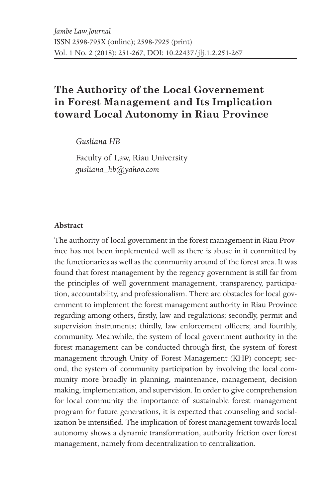# **The Authority of the Local Governement in Forest Management and Its Implication toward Local Autonomy in Riau Province**

*Gusliana HB*

Faculty of Law, Riau University *gusliana\_hb@yahoo.com*

#### **Abstract**

The authority of local government in the forest management in Riau Province has not been implemented well as there is abuse in it committed by the functionaries as well as the community around of the forest area. It was found that forest management by the regency government is still far from the principles of well government management, transparency, participation, accountability, and professionalism. There are obstacles for local government to implement the forest management authority in Riau Province regarding among others, firstly, law and regulations; secondly, permit and supervision instruments; thirdly, law enforcement officers; and fourthly, community. Meanwhile, the system of local government authority in the forest management can be conducted through first, the system of forest management through Unity of Forest Management (KHP) concept; second, the system of community participation by involving the local community more broadly in planning, maintenance, management, decision making, implementation, and supervision. In order to give comprehension for local community the importance of sustainable forest management program for future generations, it is expected that counseling and socialization be intensified. The implication of forest management towards local autonomy shows a dynamic transformation, authority friction over forest management, namely from decentralization to centralization.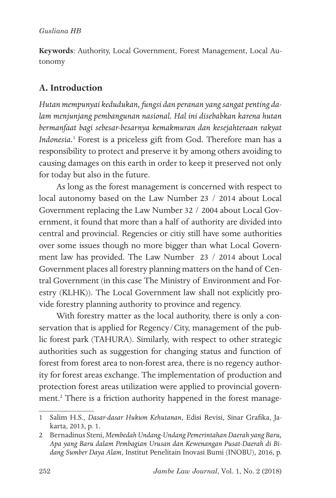**Keywords**: Authority, Local Government, Forest Management, Local Autonomy

## **A. Introduction**

*Hutan mempunyai kedudukan, fungsi dan peranan yang sangat penting dalam menjunjang pembangunan nasional. Hal ini disebabkan karena hutan bermanfaat bagi sebesar-besarnya kemakmuran dan kesejahteraan rakyat Indonesia.*<sup>1</sup> Forest is a priceless gift from God. Therefore man has a responsibility to protect and preserve it by among others avoiding to causing damages on this earth in order to keep it preserved not only for today but also in the future.

As long as the forest management is concerned with respect to local autonomy based on the Law Number 23 / 2014 about Local Government replacing the Law Number 32 / 2004 about Local Government, it found that more than a half of authority are divided into central and provincial. Regencies or citiy still have some authorities over some issues though no more bigger than what Local Government law has provided. The Law Number 23 / 2014 about Local Government places all forestry planning matters on the hand of Central Government (in this case The Ministry of Environment and Forestry (KLHK)). The Local Government law shall not explicitly provide forestry planning authority to province and regency.

With forestry matter as the local authority, there is only a conservation that is applied for Regency/City, management of the public forest park (TAHURA). Similarly, with respect to other strategic authorities such as suggestion for changing status and function of forest from forest area to non-forest area, there is no regency authority for forest areas exchange. The implementation of production and protection forest areas utilization were applied to provincial government.2 There is a friction authority happened in the forest manage-

<sup>1</sup> Salim H.S., *Dasar-dasar Hukum Kehutanan*, Edisi Revisi, Sinar Grafika, Jakarta, 2013, p. 1.

<sup>2</sup> Bernadinus Steni, *Membedah Undang-Undang Pemerintahan Daerah yang Baru, Apa yang Baru dalam Pembagian Urusan dan Kewenangan Pusat-Daerah di Bidang Sumber Daya Alam*, Institut Penelitain Inovasi Bumi (INOBU), 2016, p.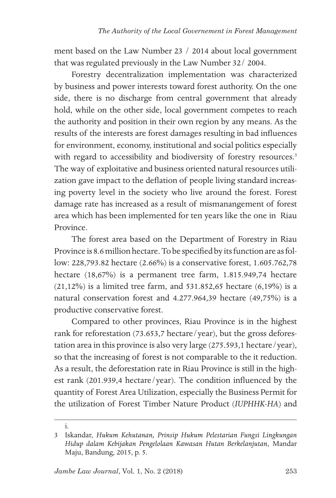ment based on the Law Number 23 / 2014 about local government that was regulated previously in the Law Number 32/ 2004.

Forestry decentralization implementation was characterized by business and power interests toward forest authority. On the one side, there is no discharge from central government that already hold, while on the other side, local government competes to reach the authority and position in their own region by any means. As the results of the interests are forest damages resulting in bad influences for environment, economy, institutional and social politics especially with regard to accessibility and biodiversity of forestry resources.<sup>3</sup> The way of exploitative and business oriented natural resources utilization gave impact to the deflation of people living standard increasing poverty level in the society who live around the forest. Forest damage rate has increased as a result of mismanangement of forest area which has been implemented for ten years like the one in Riau Province.

The forest area based on the Department of Forestry in Riau Province is 8.6 million hectare. To be specified by its function are as follow: 228,793.82 hectare (2.66%) is a conservative forest, 1.605.762,78 hectare (18,67%) is a permanent tree farm, 1.815.949,74 hectare (21,12%) is a limited tree farm, and 531.852,65 hectare (6,19%) is a natural conservation forest and 4.277.964,39 hectare (49,75%) is a productive conservative forest.

Compared to other provinces, Riau Province is in the highest rank for reforestation (73.653,7 hectare/year), but the gross deforestation area in this province is also very large (275.593,1 hectare/year), so that the increasing of forest is not comparable to the it reduction. As a result, the deforestation rate in Riau Province is still in the highest rank (201.939,4 hectare/year). The condition influenced by the quantity of Forest Area Utilization, especially the Business Permit for the utilization of Forest Timber Nature Product (*IUPHHK-HA*) and

i.

<sup>3</sup> Iskandar, *Hukum Kehutanan, Prinsip Hukum Pelestarian Fungsi Lingkungan Hidup dalam Kebijakan Pengelolaan Kawasan Hutan Berkelanjutan*, Mandar Maju, Bandung, 2015, p. 5.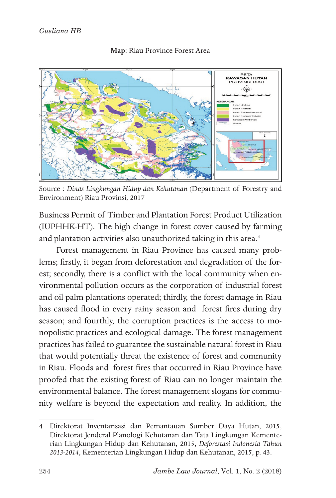

#### **Map**: Riau Province Forest Area

Source : *Dinas Lingkungan Hidup dan Kehutanan* (Department of Forestry and Environment) Riau Provinsi*,* 2017

Business Permit of Timber and Plantation Forest Product Utilization (IUPHHK-HT). The high change in forest cover caused by farming and plantation activities also unauthorized taking in this area.<sup>4</sup>

Forest management in Riau Province has caused many problems; firstly, it began from deforestation and degradation of the forest; secondly, there is a conflict with the local community when environmental pollution occurs as the corporation of industrial forest and oil palm plantations operated; thirdly, the forest damage in Riau has caused flood in every rainy season and forest fires during dry season; and fourthly, the corruption practices is the access to monopolistic practices and ecological damage. The forest management practices has failed to guarantee the sustainable natural forest in Riau that would potentially threat the existence of forest and community in Riau. Floods and forest fires that occurred in Riau Province have proofed that the existing forest of Riau can no longer maintain the environmental balance. The forest management slogans for community welfare is beyond the expectation and reality. In addition, the

<sup>4</sup> Direktorat Inventarisasi dan Pemantauan Sumber Daya Hutan, 2015, Direktorat Jenderal Planologi Kehutanan dan Tata Lingkungan Kementerian Lingkungan Hidup dan Kehutanan, 2015, *Deforestasi Indonesia Tahun 2013-2014*, Kementerian Lingkungan Hidup dan Kehutanan, 2015, p. 43.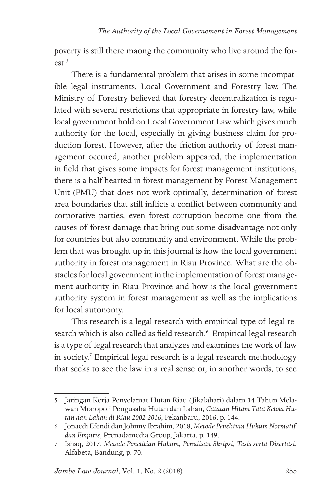poverty is still there maong the community who live around the for $ext{5}$ 

There is a fundamental problem that arises in some incompatible legal instruments, Local Government and Forestry law. The Ministry of Forestry believed that forestry decentralization is regulated with several restrictions that appropriate in forestry law, while local government hold on Local Government Law which gives much authority for the local, especially in giving business claim for production forest. However, after the friction authority of forest management occured, another problem appeared, the implementation in field that gives some impacts for forest management institutions, there is a half-hearted in forest management by Forest Management Unit (FMU) that does not work optimally, determination of forest area boundaries that still inflicts a conflict between community and corporative parties, even forest corruption become one from the causes of forest damage that bring out some disadvantage not only for countries but also community and environment. While the problem that was brought up in this journal is how the local government authority in forest management in Riau Province. What are the obstacles for local government in the implementation of forest management authority in Riau Province and how is the local government authority system in forest management as well as the implications for local autonomy.

This research is a legal research with empirical type of legal research which is also called as field research.<sup>6</sup> Empirical legal research is a type of legal research that analyzes and examines the work of law in society.7 Empirical legal research is a legal research methodology that seeks to see the law in a real sense or, in another words, to see

<sup>5</sup> Jaringan Kerja Penyelamat Hutan Riau (Jikalahari) dalam 14 Tahun Melawan Monopoli Pengusaha Hutan dan Lahan, *Catatan Hitam Tata Kelola Hutan dan Lahan di Riau 2002-2016*, Pekanbaru, 2016, p. 144.

<sup>6</sup> Jonaedi Efendi dan Johnny Ibrahim, 2018, *Metode Penelitian Hukum Normatif dan Empiris*, Prenadamedia Group, Jakarta, p. 149.

<sup>7</sup> Ishaq, 2017, *Metode Penelitian Hukum, Penulisan Skripsi, Tesis serta Disertasi*, Alfabeta, Bandung, p. 70.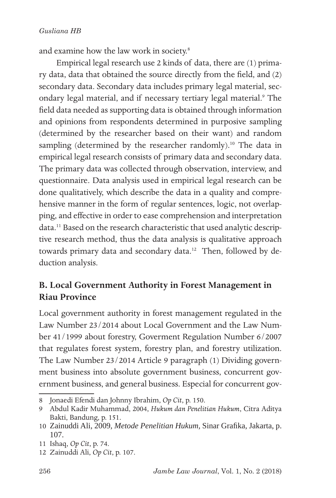and examine how the law work in society.8

Empirical legal research use 2 kinds of data, there are (1) primary data, data that obtained the source directly from the field, and (2) secondary data. Secondary data includes primary legal material, secondary legal material, and if necessary tertiary legal material.<sup>9</sup> The field data needed as supporting data is obtained through information and opinions from respondents determined in purposive sampling (determined by the researcher based on their want) and random sampling (determined by the researcher randomly).<sup>10</sup> The data in empirical legal research consists of primary data and secondary data. The primary data was collected through observation, interview, and questionnaire. Data analysis used in empirical legal research can be done qualitatively, which describe the data in a quality and comprehensive manner in the form of regular sentences, logic, not overlapping, and effective in order to ease comprehension and interpretation data.<sup>11</sup> Based on the research characteristic that used analytic descriptive research method, thus the data analysis is qualitative approach towards primary data and secondary data.<sup>12</sup> Then, followed by deduction analysis.

## **B. Local Government Authority in Forest Management in Riau Province**

Local government authority in forest management regulated in the Law Number 23/2014 about Local Government and the Law Number 41/1999 about forestry, Goverment Regulation Number 6/2007 that regulates forest system, forestry plan, and forestry utilization. The Law Number 23/2014 Article 9 paragraph (1) Dividing government business into absolute government business, concurrent government business, and general business. Especial for concurrent gov-

<sup>8</sup> Jonaedi Efendi dan Johnny Ibrahim, *Op Cit*, p. 150.

<sup>9</sup> Abdul Kadir Muhammad, 2004, *Hukum dan Penelitian Hukum*, Citra Aditya Bakti, Bandung, p. 151.

<sup>10</sup> Zainuddi Ali, 2009, *Metode Penelitian Hukum,* Sinar Grafika, Jakarta, p. 107.

<sup>11</sup> Ishaq, *Op Cit*, p. 74.

<sup>12</sup> Zainuddi Ali, *Op Cit*, p. 107.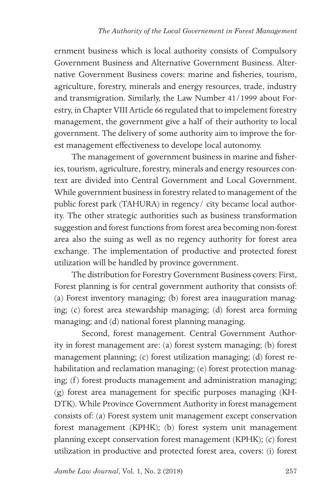ernment business which is local authority consists of Compulsory Government Business and Alternative Government Business. Alternative Government Business covers: marine and fisheries, tourism, agriculture, forestry, minerals and energy resources, trade, industry and transmigration. Similarly, the Law Number 41/1999 about Forestry, in Chapter VIII Article 66 regulated that to impelement forestry management, the government give a half of their authority to local government. The delivery of some authority aim to improve the forest management effectiveness to develope local autonomy.

The management of government business in marine and fisheries, tourism, agriculture, forestry, minerals and energy resources context are divided into Central Government and Local Government. While government business in forestry related to management of the public forest park (TAHURA) in regency/ city became local authority. The other strategic authorities such as business transformation suggestion and forest functions from forest area becoming non-forest area also the suing as well as no regency authority for forest area exchange. The implementation of productive and protected forest utilization will be handled by province government.

The distribution for Forestry Government Business covers: First, Forest planning is for central government authority that consists of: (a) Forest inventory managing; (b) forest area inauguration managing; (c) forest area stewardship managing; (d) forest area forming managing; and (d) national forest planning managing.

 Second, forest management. Central Government Authority in forest management are: (a) forest system managing; (b) forest management planning; (c) forest utilization managing; (d) forest rehabilitation and reclamation managing; (e) forest protection managing; (f) forest products management and administration managing; (g) forest area management for specific purposes managing (KH-DTK). While Province Government Authority in forest management consists of: (a) Forest system unit management except conservation forest management (KPHK); (b) forest system unit management planning except conservation forest management (KPHK); (c) forest utilization in productive and protected forest area, covers: (i) forest

*Jambe Law Journal*, Vol. 1, No. 2 (2018)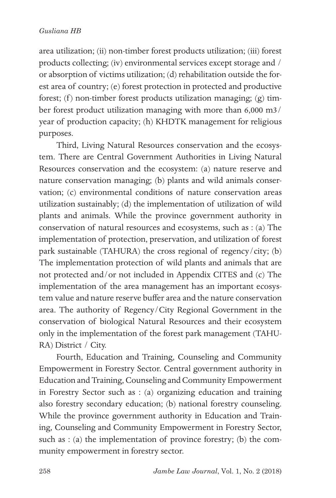#### *Gusliana HB*

area utilization; (ii) non-timber forest products utilization; (iii) forest products collecting; (iv) environmental services except storage and / or absorption of victims utilization; (d) rehabilitation outside the forest area of country; (e) forest protection in protected and productive forest; (f) non-timber forest products utilization managing; (g) timber forest product utilization managing with more than 6,000 m3/ year of production capacity; (h) KHDTK management for religious purposes.

Third, Living Natural Resources conservation and the ecosystem. There are Central Government Authorities in Living Natural Resources conservation and the ecosystem: (a) nature reserve and nature conservation managing; (b) plants and wild animals conservation; (c) environmental conditions of nature conservation areas utilization sustainably; (d) the implementation of utilization of wild plants and animals. While the province government authority in conservation of natural resources and ecosystems, such as : (a) The implementation of protection, preservation, and utilization of forest park sustainable (TAHURA) the cross regional of regency/city; (b) The implementation protection of wild plants and animals that are not protected and/or not included in Appendix CITES and (c) The implementation of the area management has an important ecosystem value and nature reserve buffer area and the nature conservation area. The authority of Regency/City Regional Government in the conservation of biological Natural Resources and their ecosystem only in the implementation of the forest park management (TAHU-RA) District / City.

Fourth, Education and Training, Counseling and Community Empowerment in Forestry Sector. Central government authority in Education and Training, Counseling and Community Empowerment in Forestry Sector such as : (a) organizing education and training also forestry secondary education; (b) national forestry counseling. While the province government authority in Education and Training, Counseling and Community Empowerment in Forestry Sector, such as : (a) the implementation of province forestry; (b) the community empowerment in forestry sector.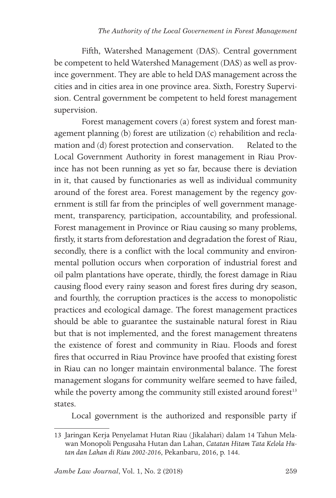Fifth, Watershed Management (DAS). Central government be competent to held Watershed Management (DAS) as well as province government. They are able to held DAS management across the cities and in cities area in one province area. Sixth, Forestry Supervision. Central government be competent to held forest management supervision.

 Forest management covers (a) forest system and forest management planning (b) forest are utilization (c) rehabilition and reclamation and (d) forest protection and conservation. Related to the Local Government Authority in forest management in Riau Province has not been running as yet so far, because there is deviation in it, that caused by functionaries as well as individual community around of the forest area. Forest management by the regency government is still far from the principles of well government management, transparency, participation, accountability, and professional. Forest management in Province or Riau causing so many problems, firstly, it starts from deforestation and degradation the forest of Riau, secondly, there is a conflict with the local community and environmental pollution occurs when corporation of industrial forest and oil palm plantations have operate, thirdly, the forest damage in Riau causing flood every rainy season and forest fires during dry season, and fourthly, the corruption practices is the access to monopolistic practices and ecological damage. The forest management practices should be able to guarantee the sustainable natural forest in Riau but that is not implemented, and the forest management threatens the existence of forest and community in Riau. Floods and forest fires that occurred in Riau Province have proofed that existing forest in Riau can no longer maintain environmental balance. The forest management slogans for community welfare seemed to have failed, while the poverty among the community still existed around forest<sup>13</sup> states.

Local government is the authorized and responsible party if

<sup>13</sup> Jaringan Kerja Penyelamat Hutan Riau (Jikalahari) dalam 14 Tahun Melawan Monopoli Pengusaha Hutan dan Lahan, *Catatan Hitam Tata Kelola Hutan dan Lahan di Riau 2002-2016*, Pekanbaru, 2016, p. 144.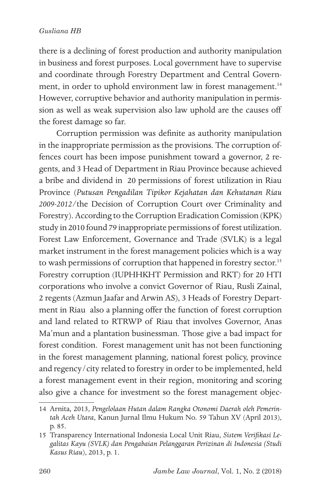#### *Gusliana HB*

there is a declining of forest production and authority manipulation in business and forest purposes. Local government have to supervise and coordinate through Forestry Department and Central Government, in order to uphold environment law in forest management.<sup>14</sup> However, corruptive behavior and authority manipulation in permission as well as weak supervision also law uphold are the causes off the forest damage so far.

Corruption permission was definite as authority manipulation in the inappropriate permission as the provisions. The corruption offences court has been impose punishment toward a governor, 2 regents, and 3 Head of Department in Riau Province because achieved a bribe and dividend in 20 permissions of forest utilization in Riau Province (*Putusan Pengadilan Tipikor Kejahatan dan Kehutanan Riau 2009-2012/*the Decision of Corruption Court over Criminality and Forestry). According to the Corruption Eradication Comission (KPK) study in 2010 found 79 inappropriate permissions of forest utilization. Forest Law Enforcement, Governance and Trade (SVLK) is a legal market instrument in the forest management policies which is a way to wash permissions of corruption that happened in forestry sector.<sup>15</sup> Forestry corruption (IUPHHKHT Permission and RKT) for 20 HTI corporations who involve a convict Governor of Riau, Rusli Zainal, 2 regents (Azmun Jaafar and Arwin AS), 3 Heads of Forestry Department in Riau also a planning offer the function of forest corruption and land related to RTRWP of Riau that involves Governor, Anas Ma'mun and a plantation businessman. Those give a bad impact for forest condition. Forest management unit has not been functioning in the forest management planning, national forest policy, province and regency/city related to forestry in order to be implemented, held a forest management event in their region, monitoring and scoring also give a chance for investment so the forest management objec-

<sup>14</sup> Arnita*,* 2013, *Pengelolaan Hutan dalam Rangka Otonomi Daerah oleh Pemerintah Aceh Utara*, Kanun Jurnal Ilmu Hukum No. 59 Tahun XV (April 2013), p. 85.

<sup>15</sup> Transparency International Indonesia Local Unit Riau, *Sistem Verifikasi Legalitas Kayu (SVLK) dan Pengabaian Pelanggaran Perizinan di Indonesia (Studi Kasus Riau*), 2013, p. 1.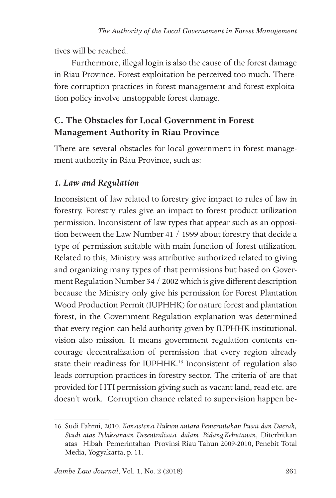tives will be reached.

Furthermore, illegal login is also the cause of the forest damage in Riau Province. Forest exploitation be perceived too much. Therefore corruption practices in forest management and forest exploitation policy involve unstoppable forest damage.

## **C. The Obstacles for Local Government in Forest Management Authority in Riau Province**

There are several obstacles for local government in forest management authority in Riau Province, such as:

## *1. Law and Regulation*

Inconsistent of law related to forestry give impact to rules of law in forestry. Forestry rules give an impact to forest product utilization permission. Inconsistent of law types that appear such as an opposition between the Law Number 41 / 1999 about forestry that decide a type of permission suitable with main function of forest utilization. Related to this, Ministry was attributive authorized related to giving and organizing many types of that permissions but based on Goverment Regulation Number 34 / 2002 which is give different description because the Ministry only give his permission for Forest Plantation Wood Production Permit (IUPHHK) for nature forest and plantation forest, in the Government Regulation explanation was determined that every region can held authority given by IUPHHK institutional, vision also mission. It means government regulation contents encourage decentralization of permission that every region already state their readiness for IUPHHK.16 Inconsistent of regulation also leads corruption practices in forestry sector. The criteria of are that provided for HTI permission giving such as vacant land, read etc. are doesn't work. Corruption chance related to supervision happen be-

<sup>16</sup> Sudi Fahmi, 2010, *Konsistensi Hukum antara Pemerintahan Pusat dan Daerah, Studi atas Pelaksanaan Desentralisasi dalam Bidang Kehutanan*, Diterbitkan atas Hibah Pemerintahan Provinsi Riau Tahun 2009-2010, Penebit Total Media, Yogyakarta, p. 11.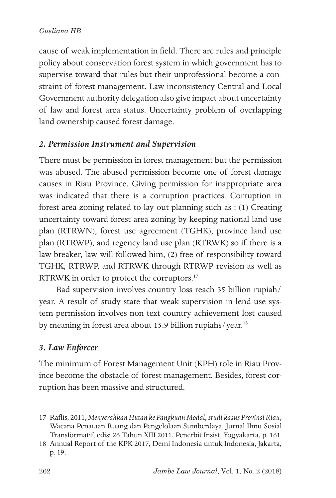#### *Gusliana HB*

cause of weak implementation in field. There are rules and principle policy about conservation forest system in which government has to supervise toward that rules but their unprofessional become a constraint of forest management. Law inconsistency Central and Local Government authority delegation also give impact about uncertainty of law and forest area status. Uncertainty problem of overlapping land ownership caused forest damage.

### *2. Permission Instrument and Supervision*

There must be permission in forest management but the permission was abused. The abused permission become one of forest damage causes in Riau Province. Giving permission for inappropriate area was indicated that there is a corruption practices. Corruption in forest area zoning related to lay out planning such as : (1) Creating uncertainty toward forest area zoning by keeping national land use plan (RTRWN), forest use agreement (TGHK), province land use plan (RTRWP), and regency land use plan (RTRWK) so if there is a law breaker, law will followed him, (2) free of responsibility toward TGHK, RTRWP, and RTRWK through RTRWP revision as well as RTRWK in order to protect the corruptors.<sup>17</sup>

Bad supervision involves country loss reach 35 billion rupiah/ year. A result of study state that weak supervision in lend use system permission involves non text country achievement lost caused by meaning in forest area about 15.9 billion rupiahs/year.<sup>18</sup>

### *3. Law Enforcer*

The minimum of Forest Management Unit (KPH) role in Riau Province become the obstacle of forest management. Besides, forest corruption has been massive and structured.

<sup>17</sup> Raflis, 2011, *Menyerahkan Hutan ke Pangkuan Modal*, *studi kasus Provinsi Riau*, Wacana Penataan Ruang dan Pengelolaan Sumberdaya, Jurnal Ilmu Sosial Transformatif, edisi 26 Tahun XIII 2011, Penerbit Insist, Yogyakarta, p. 161

<sup>18</sup> Annual Report of the KPK 2017, Demi Indonesia untuk Indonesia, Jakarta, p. 19.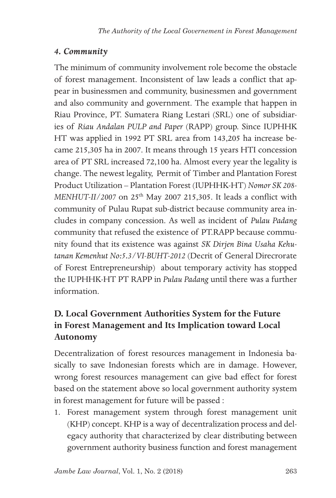### *4. Community*

The minimum of community involvement role become the obstacle of forest management. Inconsistent of law leads a conflict that appear in businessmen and community, businessmen and government and also community and government. The example that happen in Riau Province, PT. Sumatera Riang Lestari (SRL) one of subsidiaries of *Riau Andalan PULP and Paper* (RAPP) group. Since IUPHHK HT was applied in 1992 PT SRL area from 143,205 ha increase became 215,305 ha in 2007. It means through 15 years HTI concession area of PT SRL increased 72,100 ha. Almost every year the legality is change. The newest legality, Permit of Timber and Plantation Forest Product Utilization – Plantation Forest (IUPHHK-HT) *Nomor SK 208- MENHUT-II/2007* on 25th May 2007 215,305. It leads a conflict with community of Pulau Rupat sub-district because community area includes in company concession. As well as incident of *Pulau Padang* community that refused the existence of PT.RAPP because community found that its existence was against *SK Dirjen Bina Usaha Kehutanan Kemenhut No:5.3/VI-BUHT-2012* (Decrit of General Direcrorate of Forest Entrepreneurship) about temporary activity has stopped the IUPHHK-HT PT RAPP in *Pulau Padang* until there was a further information.

## **D. Local Government Authorities System for the Future in Forest Management and Its Implication toward Local Autonomy**

Decentralization of forest resources management in Indonesia basically to save Indonesian forests which are in damage. However, wrong forest resources management can give bad effect for forest based on the statement above so local government authority system in forest management for future will be passed :

1. Forest management system through forest management unit (KHP) concept. KHP is a way of decentralization process and delegacy authority that characterized by clear distributing between government authority business function and forest management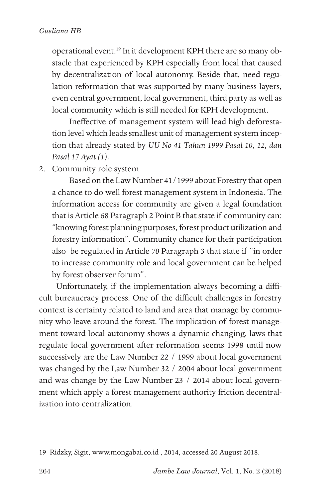operational event.19 In it development KPH there are so many obstacle that experienced by KPH especially from local that caused by decentralization of local autonomy. Beside that, need regulation reformation that was supported by many business layers, even central government, local government, third party as well as local community which is still needed for KPH development.

Ineffective of management system will lead high deforestation level which leads smallest unit of management system inception that already stated by *UU No 41 Tahun 1999 Pasal 10, 12, dan Pasal 17 Ayat (1).*

2. Community role system

Based on the Law Number 41/1999 about Forestry that open a chance to do well forest management system in Indonesia. The information access for community are given a legal foundation that is Article 68 Paragraph 2 Point B that state if community can: "knowing forest planning purposes, forest product utilization and forestry information". Community chance for their participation also be regulated in Article *70* Paragraph 3 that state if "in order to increase community role and local government can be helped by forest observer forum".

Unfortunately, if the implementation always becoming a difficult bureaucracy process. One of the difficult challenges in forestry context is certainty related to land and area that manage by community who leave around the forest. The implication of forest management toward local autonomy shows a dynamic changing, laws that regulate local government after reformation seems 1998 until now successively are the Law Number 22 / 1999 about local government was changed by the Law Number 32 / 2004 about local government and was change by the Law Number 23 / 2014 about local government which apply a forest management authority friction decentralization into centralization.

<sup>19</sup> Ridzky, Sigit, www.mongabai.co.id , 2014, accessed 20 August 2018.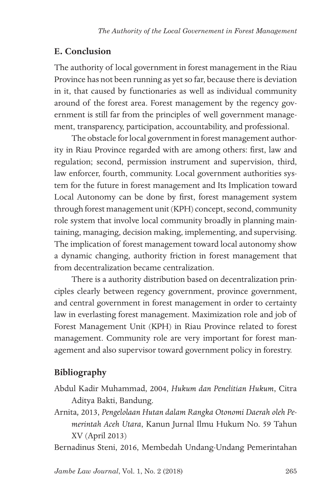#### **E. Conclusion**

The authority of local government in forest management in the Riau Province has not been running as yet so far, because there is deviation in it, that caused by functionaries as well as individual community around of the forest area. Forest management by the regency government is still far from the principles of well government management, transparency, participation, accountability, and professional.

The obstacle for local government in forest management authority in Riau Province regarded with are among others: first, law and regulation; second, permission instrument and supervision, third, law enforcer, fourth, community. Local government authorities system for the future in forest management and Its Implication toward Local Autonomy can be done by first, forest management system through forest management unit (KPH) concept, second, community role system that involve local community broadly in planning maintaining, managing, decision making, implementing, and supervising. The implication of forest management toward local autonomy show a dynamic changing, authority friction in forest management that from decentralization became centralization.

There is a authority distribution based on decentralization principles clearly between regency government, province government, and central government in forest management in order to certainty law in everlasting forest management. Maximization role and job of Forest Management Unit (KPH) in Riau Province related to forest management. Community role are very important for forest management and also supervisor toward government policy in forestry.

## **Bibliography**

- Abdul Kadir Muhammad, 2004, *Hukum dan Penelitian Hukum*, Citra Aditya Bakti, Bandung.
- Arnita*,* 2013, *Pengelolaan Hutan dalam Rangka Otonomi Daerah oleh Pemerintah Aceh Utara*, Kanun Jurnal Ilmu Hukum No. 59 Tahun XV (April 2013)

Bernadinus Steni, 2016, Membedah Undang-Undang Pemerintahan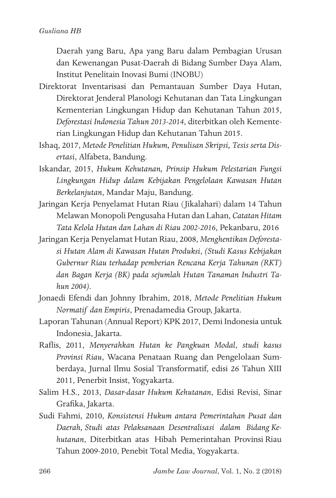Daerah yang Baru, Apa yang Baru dalam Pembagian Urusan dan Kewenangan Pusat-Daerah di Bidang Sumber Daya Alam, Institut Penelitain Inovasi Bumi (INOBU)

- Direktorat Inventarisasi dan Pemantauan Sumber Daya Hutan, Direktorat Jenderal Planologi Kehutanan dan Tata Lingkungan Kementerian Lingkungan Hidup dan Kehutanan Tahun 2015, *Deforestasi Indonesia Tahun 2013-2014*, diterbitkan oleh Kementerian Lingkungan Hidup dan Kehutanan Tahun 2015.
- Ishaq, 2017, *Metode Penelitian Hukum, Penulisan Skripsi, Tesis serta Disertasi*, Alfabeta, Bandung.
- Iskandar, 2015, *Hukum Kehutanan, Prinsip Hukum Pelestarian Fungsi Lingkungan Hidup dalam Kebijakan Pengelolaan Kawasan Hutan Berkelanjutan*, Mandar Maju, Bandung.
- Jaringan Kerja Penyelamat Hutan Riau (Jikalahari) dalam 14 Tahun Melawan Monopoli Pengusaha Hutan dan Lahan, *Catatan Hitam Tata Kelola Hutan dan Lahan di Riau 2002-2016*, Pekanbaru, 2016
- Jaringan Kerja Penyelamat Hutan Riau, 2008, *Menghentikan Deforestasi Hutan Alam di Kawasan Hutan Produksi*, *(Studi Kasus Kebijakan Gubernur Riau terhadap pemberian Rencana Kerja Tahunan (RKT) dan Bagan Kerja (BK) pada sejumlah Hutan Tanaman Industri Tahun 2004)*.
- Jonaedi Efendi dan Johnny Ibrahim, 2018, *Metode Penelitian Hukum Normatif dan Empiris*, Prenadamedia Group, Jakarta.
- Laporan Tahunan (Annual Report) KPK 2017, Demi Indonesia untuk Indonesia, Jakarta.
- Raflis, 2011, *Menyerahkan Hutan ke Pangkuan Modal*, *studi kasus Provinsi Riau*, Wacana Penataan Ruang dan Pengelolaan Sumberdaya, Jurnal Ilmu Sosial Transformatif, edisi 26 Tahun XIII 2011, Penerbit Insist, Yogyakarta.
- Salim H.S., 2013, *Dasar-dasar Hukum Kehutanan*, Edisi Revisi, Sinar Grafika, Jakarta.
- Sudi Fahmi, 2010, *Konsistensi Hukum antara Pemerintahan Pusat dan Daerah, Studi atas Pelaksanaan Desentralisasi dalam Bidang Kehutanan*, Diterbitkan atas Hibah Pemerintahan Provinsi Riau Tahun 2009-2010, Penebit Total Media, Yogyakarta.